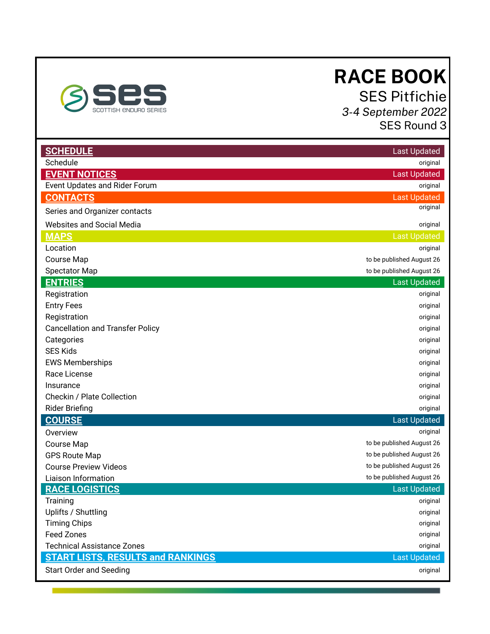# **RACE BOOK**

SES Pitfichie *3-4 September 2022* SES Round 3

<span id="page-0-0"></span>

| <b>SCHEDULE</b>                          | <b>Last Updated</b>       |
|------------------------------------------|---------------------------|
| Schedule                                 | original                  |
| <b>EVENT NOTICES</b>                     | <b>Last Updated</b>       |
| <b>Event Updates and Rider Forum</b>     | original                  |
| <b>CONTACTS</b>                          | <b>Last Updated</b>       |
| Series and Organizer contacts            | original                  |
| <b>Websites and Social Media</b>         | original                  |
| <b>MAPS</b>                              | <b>Last Updated</b>       |
| Location                                 | original                  |
| Course Map                               | to be published August 26 |
| <b>Spectator Map</b>                     | to be published August 26 |
| <b>ENTRIES</b>                           | <b>Last Updated</b>       |
| Registration                             | original                  |
| <b>Entry Fees</b>                        | original                  |
| Registration                             | original                  |
| <b>Cancellation and Transfer Policy</b>  | original                  |
| Categories                               | original                  |
| <b>SES Kids</b>                          | original                  |
| <b>EWS Memberships</b>                   | original                  |
| Race License                             | original                  |
| Insurance                                | original                  |
| Checkin / Plate Collection               | original                  |
| <b>Rider Briefing</b>                    | original                  |
| <b>COURSE</b>                            | <b>Last Updated</b>       |
| Overview                                 | original                  |
| <b>Course Map</b>                        | to be published August 26 |
| <b>GPS Route Map</b>                     | to be published August 26 |
| <b>Course Preview Videos</b>             | to be published August 26 |
| Liaison Information                      | to be published August 26 |
| <b>RACE LOGISTICS</b>                    | <b>Last Updated</b>       |
| Training                                 | original                  |
| Uplifts / Shuttling                      | original                  |
| <b>Timing Chips</b>                      | original                  |
| <b>Feed Zones</b>                        | original                  |
| <b>Technical Assistance Zones</b>        | original                  |
| <b>START LISTS, RESULTS and RANKINGS</b> | <b>Last Updated</b>       |
| <b>Start Order and Seeding</b>           | original                  |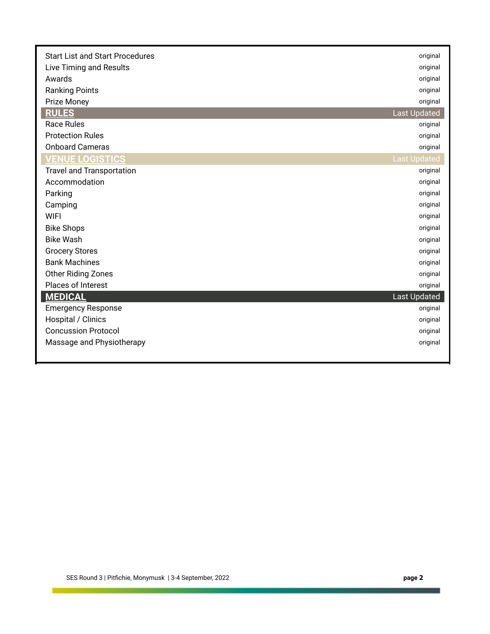| <b>Start List and Start Procedures</b> | original            |
|----------------------------------------|---------------------|
| Live Timing and Results                | original            |
| Awards                                 | original            |
| <b>Ranking Points</b>                  | original            |
| Prize Money                            | original            |
| <b>RULES</b>                           | <b>Last Updated</b> |
| <b>Race Rules</b>                      | original            |
| <b>Protection Rules</b>                | original            |
| <b>Onboard Cameras</b>                 | original            |
| <b>VENUE LOGISTICS</b>                 | <b>Last Updated</b> |
| <b>Travel and Transportation</b>       | original            |
| Accommodation                          | original            |
| Parking                                | original            |
| Camping                                | original            |
| <b>WIFI</b>                            | original            |
| <b>Bike Shops</b>                      | original            |
| <b>Bike Wash</b>                       | original            |
| <b>Grocery Stores</b>                  | original            |
| <b>Bank Machines</b>                   | original            |
| <b>Other Riding Zones</b>              | original            |
| Places of Interest                     | original            |
| <b>MEDICAL</b>                         | <b>Last Updated</b> |
| <b>Emergency Response</b>              | original            |
| Hospital / Clinics                     | original            |
| <b>Concussion Protocol</b>             | original            |
| Massage and Physiotherapy              | original            |
|                                        |                     |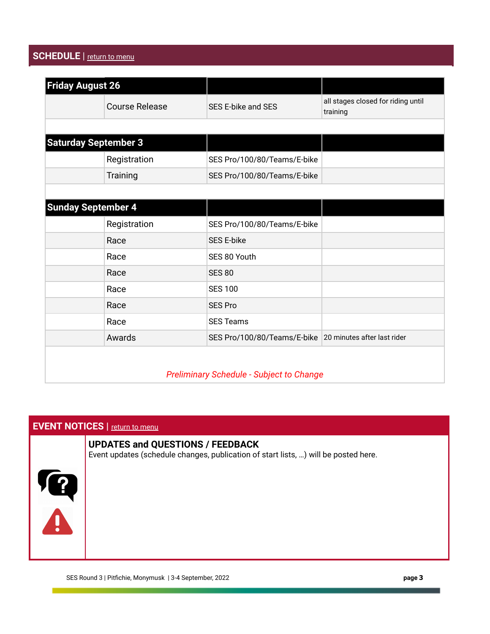# **SCHEDULE** | [return to menu](#page-0-0)

| <b>Friday August 26</b>                         |                       |                                                         |                                                |
|-------------------------------------------------|-----------------------|---------------------------------------------------------|------------------------------------------------|
|                                                 | <b>Course Release</b> | <b>SES E-bike and SES</b>                               | all stages closed for riding until<br>training |
|                                                 |                       |                                                         |                                                |
| <b>Saturday September 3</b>                     |                       |                                                         |                                                |
|                                                 | Registration          | SES Pro/100/80/Teams/E-bike                             |                                                |
|                                                 | Training              | SES Pro/100/80/Teams/E-bike                             |                                                |
|                                                 |                       |                                                         |                                                |
| <b>Sunday September 4</b>                       |                       |                                                         |                                                |
|                                                 | Registration          | SES Pro/100/80/Teams/E-bike                             |                                                |
|                                                 | Race                  | <b>SES E-bike</b>                                       |                                                |
|                                                 | Race                  | SES 80 Youth                                            |                                                |
|                                                 | Race                  | <b>SES 80</b>                                           |                                                |
|                                                 | Race                  | <b>SES 100</b>                                          |                                                |
|                                                 | Race                  | <b>SES Pro</b>                                          |                                                |
|                                                 | Race                  | <b>SES Teams</b>                                        |                                                |
|                                                 | Awards                | SES Pro/100/80/Teams/E-bike 20 minutes after last rider |                                                |
|                                                 |                       |                                                         |                                                |
| <b>Preliminary Schedule - Subject to Change</b> |                       |                                                         |                                                |

# **EVENT NOTICES** | [return to menu](#page-0-0)

# **UPDATES and QUESTIONS / FEEDBACK**

Event updates (schedule changes, publication of start lists, …) will be posted here.

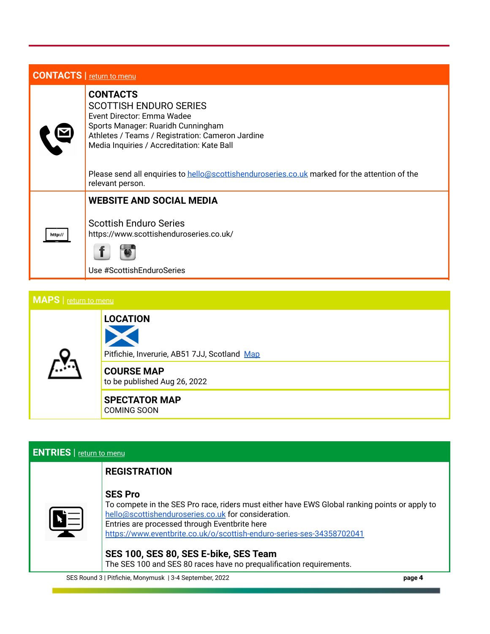|  | <b>CONTACTS</b> return to menu |
|--|--------------------------------|
|--|--------------------------------|

|         | <b>CONTACTS</b><br><b>SCOTTISH ENDURO SERIES</b><br>Event Director: Emma Wadee<br>Sports Manager: Ruaridh Cunningham<br>Athletes / Teams / Registration: Cameron Jardine<br>Media Inquiries / Accreditation: Kate Ball |
|---------|------------------------------------------------------------------------------------------------------------------------------------------------------------------------------------------------------------------------|
|         | Please send all enquiries to hello@scottishenduroseries.co.uk marked for the attention of the<br>relevant person.                                                                                                      |
|         | <b>WEBSITE AND SOCIAL MEDIA</b>                                                                                                                                                                                        |
| http:// | <b>Scottish Enduro Series</b><br>https://www.scottishenduroseries.co.uk/                                                                                                                                               |
|         | Use #ScottishEnduroSeries                                                                                                                                                                                              |
|         |                                                                                                                                                                                                                        |

# **MAPS** | [return to menu](#page-0-0)



**LOCATION**

Pitfichie, Inverurie, AB51 7JJ, Scotland [Map](https://www.google.com/maps/place/Pitfichie,+Inverurie+AB51+7JJ/@57.238756,-2.5457467,15z/data=!3m1!4b1!4m5!3m4!1s0x4884388b03151f49:0xf80d50a089af35f3!8m2!3d57.2387452!4d-2.5369919)

**COURSE MAP** to be published Aug 26, 2022

**SPECTATOR MAP** COMING SOON

# **ENTRIES** | [return to menu](#page-0-0)

|  | <b>REGISTRATION</b> |
|--|---------------------|
|  |                     |

#### **SES Pro**



To compete in the SES Pro race, riders must either have EWS Global ranking points or apply to [hello@scottishenduroseries.co.uk](mailto:hello@scottishenduroseries.co.uk) for consideration. Entries are processed through Eventbrite here <https://www.eventbrite.co.uk/o/scottish-enduro-series-ses-34358702041>

# **SES 100, SES 80, SES E-bike, SES Team**

The SES 100 and SES 80 races have no prequalification requirements.

SES Round 3 | Pitfichie, Monymusk | 3-4 September, 2022 **page 4**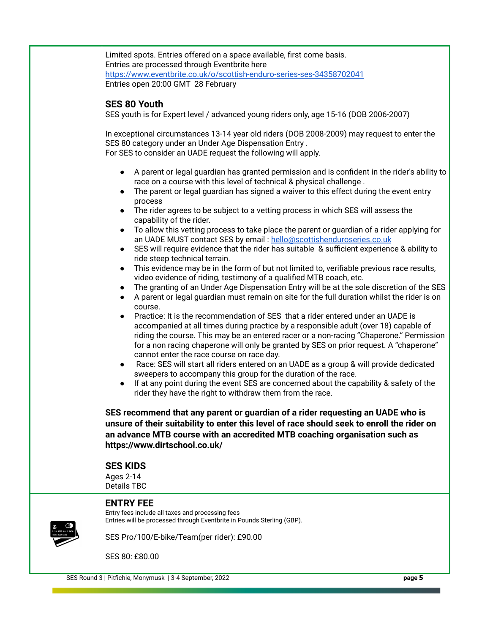| Limited spots. Entries offered on a space available, first come basis.<br>Entries are processed through Eventbrite here<br>https://www.eventbrite.co.uk/o/scottish-enduro-series-ses-34358702041<br>Entries open 20:00 GMT 28 February                                                                                                                                                                                                                                                                                                                                                                                                                                                                                                                                                                                                                                                                                                                                                                                                                                                                                                                                                                                                                                                                                                                                                                                                                                                                                                                                                                                                                                                                                                                                                                                                                                                                                                                                                                                                                                   |  |
|--------------------------------------------------------------------------------------------------------------------------------------------------------------------------------------------------------------------------------------------------------------------------------------------------------------------------------------------------------------------------------------------------------------------------------------------------------------------------------------------------------------------------------------------------------------------------------------------------------------------------------------------------------------------------------------------------------------------------------------------------------------------------------------------------------------------------------------------------------------------------------------------------------------------------------------------------------------------------------------------------------------------------------------------------------------------------------------------------------------------------------------------------------------------------------------------------------------------------------------------------------------------------------------------------------------------------------------------------------------------------------------------------------------------------------------------------------------------------------------------------------------------------------------------------------------------------------------------------------------------------------------------------------------------------------------------------------------------------------------------------------------------------------------------------------------------------------------------------------------------------------------------------------------------------------------------------------------------------------------------------------------------------------------------------------------------------|--|
| <b>SES 80 Youth</b><br>SES youth is for Expert level / advanced young riders only, age 15-16 (DOB 2006-2007)                                                                                                                                                                                                                                                                                                                                                                                                                                                                                                                                                                                                                                                                                                                                                                                                                                                                                                                                                                                                                                                                                                                                                                                                                                                                                                                                                                                                                                                                                                                                                                                                                                                                                                                                                                                                                                                                                                                                                             |  |
| In exceptional circumstances 13-14 year old riders (DOB 2008-2009) may request to enter the<br>SES 80 category under an Under Age Dispensation Entry.<br>For SES to consider an UADE request the following will apply.<br>A parent or legal guardian has granted permission and is confident in the rider's ability to<br>race on a course with this level of technical & physical challenge.<br>The parent or legal guardian has signed a waiver to this effect during the event entry<br>process<br>The rider agrees to be subject to a vetting process in which SES will assess the<br>capability of the rider.<br>To allow this vetting process to take place the parent or guardian of a rider applying for<br>an UADE MUST contact SES by email: hello@scottishenduroseries.co.uk<br>SES will require evidence that the rider has suitable & sufficient experience & ability to<br>ride steep technical terrain.<br>This evidence may be in the form of but not limited to, verifiable previous race results,<br>$\bullet$<br>video evidence of riding, testimony of a qualified MTB coach, etc.<br>The granting of an Under Age Dispensation Entry will be at the sole discretion of the SES<br>$\bullet$<br>A parent or legal guardian must remain on site for the full duration whilst the rider is on<br>$\bullet$<br>course.<br>Practice: It is the recommendation of SES that a rider entered under an UADE is<br>accompanied at all times during practice by a responsible adult (over 18) capable of<br>riding the course. This may be an entered racer or a non-racing "Chaperone." Permission<br>for a non racing chaperone will only be granted by SES on prior request. A "chaperone"<br>cannot enter the race course on race day.<br>Race: SES will start all riders entered on an UADE as a group & will provide dedicated<br>sweepers to accompany this group for the duration of the race.<br>If at any point during the event SES are concerned about the capability & safety of the<br>rider they have the right to withdraw them from the race. |  |
| SES recommend that any parent or guardian of a rider requesting an UADE who is<br>unsure of their suitability to enter this level of race should seek to enroll the rider on<br>an advance MTB course with an accredited MTB coaching organisation such as<br>https://www.dirtschool.co.uk/                                                                                                                                                                                                                                                                                                                                                                                                                                                                                                                                                                                                                                                                                                                                                                                                                                                                                                                                                                                                                                                                                                                                                                                                                                                                                                                                                                                                                                                                                                                                                                                                                                                                                                                                                                              |  |
| <b>SES KIDS</b><br>Ages 2-14<br>Details TBC                                                                                                                                                                                                                                                                                                                                                                                                                                                                                                                                                                                                                                                                                                                                                                                                                                                                                                                                                                                                                                                                                                                                                                                                                                                                                                                                                                                                                                                                                                                                                                                                                                                                                                                                                                                                                                                                                                                                                                                                                              |  |
| <b>ENTRY FEE</b><br>Entry fees include all taxes and processing fees<br>Entries will be processed through Eventbrite in Pounds Sterling (GBP).<br>SES Pro/100/E-bike/Team(per rider): £90.00<br>SES 80: £80.00                                                                                                                                                                                                                                                                                                                                                                                                                                                                                                                                                                                                                                                                                                                                                                                                                                                                                                                                                                                                                                                                                                                                                                                                                                                                                                                                                                                                                                                                                                                                                                                                                                                                                                                                                                                                                                                           |  |
| SES Round 3   Pitfichie, Monymusk   3-4 September, 2022<br>page 5                                                                                                                                                                                                                                                                                                                                                                                                                                                                                                                                                                                                                                                                                                                                                                                                                                                                                                                                                                                                                                                                                                                                                                                                                                                                                                                                                                                                                                                                                                                                                                                                                                                                                                                                                                                                                                                                                                                                                                                                        |  |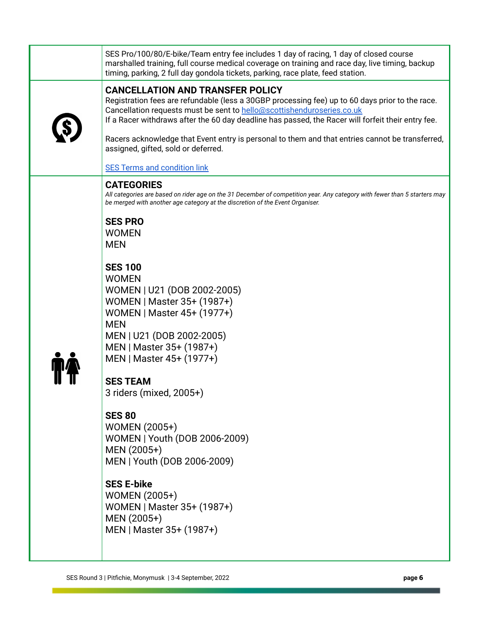| SES Pro/100/80/E-bike/Team entry fee includes 1 day of racing, 1 day of closed course<br>marshalled training, full course medical coverage on training and race day, live timing, backup<br>timing, parking, 2 full day gondola tickets, parking, race plate, feed station.                                                |
|----------------------------------------------------------------------------------------------------------------------------------------------------------------------------------------------------------------------------------------------------------------------------------------------------------------------------|
| <b>CANCELLATION AND TRANSFER POLICY</b><br>Registration fees are refundable (less a 30GBP processing fee) up to 60 days prior to the race.<br>Cancellation requests must be sent to hello@scottishenduroseries.co.uk<br>If a Racer withdraws after the 60 day deadline has passed, the Racer will forfeit their entry fee. |
| Racers acknowledge that Event entry is personal to them and that entries cannot be transferred,<br>assigned, gifted, sold or deferred.                                                                                                                                                                                     |
| <b>SES Terms and condition link</b>                                                                                                                                                                                                                                                                                        |
| <b>CATEGORIES</b><br>All categories are based on rider age on the 31 December of competition year. Any category with fewer than 5 starters may<br>be merged with another age category at the discretion of the Event Organiser.                                                                                            |
| <b>SES PRO</b><br><b>WOMEN</b><br><b>MEN</b>                                                                                                                                                                                                                                                                               |
| <b>SES 100</b><br><b>WOMEN</b><br>WOMEN   U21 (DOB 2002-2005)<br>WOMEN   Master 35+ (1987+)<br>WOMEN   Master 45+ (1977+)<br><b>MEN</b><br>MEN   U21 (DOB 2002-2005)<br>MEN   Master 35+ (1987+)                                                                                                                           |
| MEN   Master 45+ (1977+)<br><b>SES TEAM</b>                                                                                                                                                                                                                                                                                |
| 3 riders (mixed, 2005+)                                                                                                                                                                                                                                                                                                    |
| <b>SES 80</b><br><b>WOMEN (2005+)</b><br>WOMEN   Youth (DOB 2006-2009)<br>MEN (2005+)<br>MEN   Youth (DOB 2006-2009)                                                                                                                                                                                                       |
| <b>SES E-bike</b><br><b>WOMEN (2005+)</b><br>WOMEN   Master 35+ (1987+)<br>MEN (2005+)<br>MEN   Master 35+ (1987+)                                                                                                                                                                                                         |
|                                                                                                                                                                                                                                                                                                                            |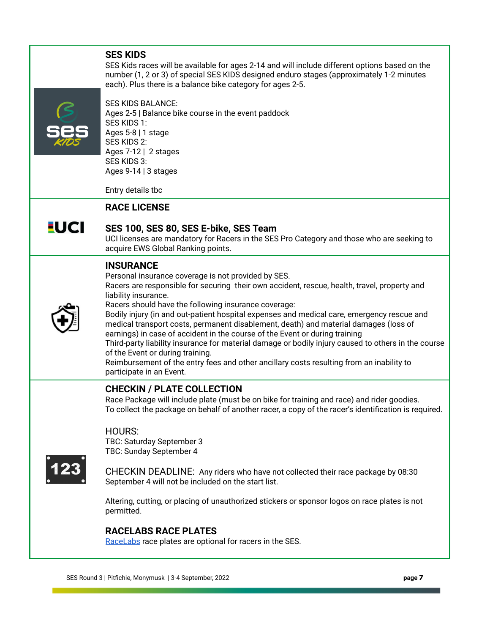|             | <b>SES KIDS</b><br>SES Kids races will be available for ages 2-14 and will include different options based on the<br>number (1, 2 or 3) of special SES KIDS designed enduro stages (approximately 1-2 minutes<br>each). Plus there is a balance bike category for ages 2-5.<br><b>SES KIDS BALANCE:</b><br>Ages 2-5   Balance bike course in the event paddock<br>SES KIDS 1:<br>Ages 5-8   1 stage<br>SES KIDS 2:<br>Ages 7-12   2 stages<br>SES KIDS 3:<br>Ages 9-14   3 stages<br>Entry details tbc                                                                                                                                                                                                                                                                                          |
|-------------|-------------------------------------------------------------------------------------------------------------------------------------------------------------------------------------------------------------------------------------------------------------------------------------------------------------------------------------------------------------------------------------------------------------------------------------------------------------------------------------------------------------------------------------------------------------------------------------------------------------------------------------------------------------------------------------------------------------------------------------------------------------------------------------------------|
|             | <b>RACE LICENSE</b>                                                                                                                                                                                                                                                                                                                                                                                                                                                                                                                                                                                                                                                                                                                                                                             |
| <b>EUCI</b> | SES 100, SES 80, SES E-bike, SES Team<br>UCI licenses are mandatory for Racers in the SES Pro Category and those who are seeking to<br>acquire EWS Global Ranking points.                                                                                                                                                                                                                                                                                                                                                                                                                                                                                                                                                                                                                       |
|             | <b>INSURANCE</b><br>Personal insurance coverage is not provided by SES.<br>Racers are responsible for securing their own accident, rescue, health, travel, property and<br>liability insurance.<br>Racers should have the following insurance coverage:<br>Bodily injury (in and out-patient hospital expenses and medical care, emergency rescue and<br>medical transport costs, permanent disablement, death) and material damages (loss of<br>earnings) in case of accident in the course of the Event or during training<br>Third-party liability insurance for material damage or bodily injury caused to others in the course<br>of the Event or during training.<br>Reimbursement of the entry fees and other ancillary costs resulting from an inability to<br>participate in an Event. |
|             | <b>CHECKIN / PLATE COLLECTION</b><br>Race Package will include plate (must be on bike for training and race) and rider goodies.<br>To collect the package on behalf of another racer, a copy of the racer's identification is required.<br><b>HOURS:</b><br>TBC: Saturday September 3<br>TBC: Sunday September 4<br>CHECKIN DEADLINE: Any riders who have not collected their race package by 08:30<br>September 4 will not be included on the start list.<br>Altering, cutting, or placing of unauthorized stickers or sponsor logos on race plates is not<br>permitted.<br><b>RACELABS RACE PLATES</b><br>RaceLabs race plates are optional for racers in the SES.                                                                                                                            |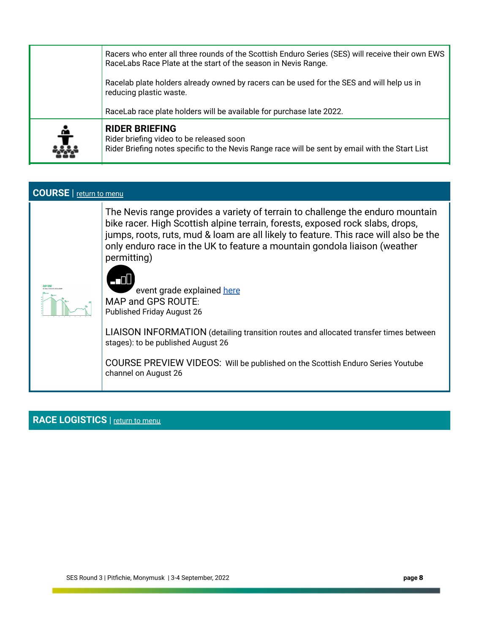| Racers who enter all three rounds of the Scottish Enduro Series (SES) will receive their own EWS<br>RaceLabs Race Plate at the start of the season in Nevis Range. |                                                                                                                                                                      |
|--------------------------------------------------------------------------------------------------------------------------------------------------------------------|----------------------------------------------------------------------------------------------------------------------------------------------------------------------|
|                                                                                                                                                                    | Racelab plate holders already owned by racers can be used for the SES and will help us in<br>reducing plastic waste.                                                 |
|                                                                                                                                                                    | RaceLab race plate holders will be available for purchase late 2022.                                                                                                 |
| ÷                                                                                                                                                                  | <b>RIDER BRIEFING</b><br>Rider briefing video to be released soon<br>Rider Briefing notes specific to the Nevis Range race will be sent by email with the Start List |

| <b>COURSE</b>   return to menu |                                                                                                                                                                                                                                                                                                                                                                                                                                                                                                                                                                                                                                                                                                  |  |
|--------------------------------|--------------------------------------------------------------------------------------------------------------------------------------------------------------------------------------------------------------------------------------------------------------------------------------------------------------------------------------------------------------------------------------------------------------------------------------------------------------------------------------------------------------------------------------------------------------------------------------------------------------------------------------------------------------------------------------------------|--|
|                                | The Nevis range provides a variety of terrain to challenge the enduro mountain<br>bike racer. High Scottish alpine terrain, forests, exposed rock slabs, drops,<br>jumps, roots, ruts, mud & loam are all likely to feature. This race will also be the<br>only enduro race in the UK to feature a mountain gondola liaison (weather<br>permitting)<br>AT DI U<br>event grade explained here<br>MAP and GPS ROUTE:<br><b>Published Friday August 26</b><br>LIAISON INFORMATION (detailing transition routes and allocated transfer times between<br>stages): to be published August 26<br>COURSE PREVIEW VIDEOS: Will be published on the Scottish Enduro Series Youtube<br>channel on August 26 |  |

# **RACE LOGISTICS** | **<u>[return to menu](#page-0-0)</u>**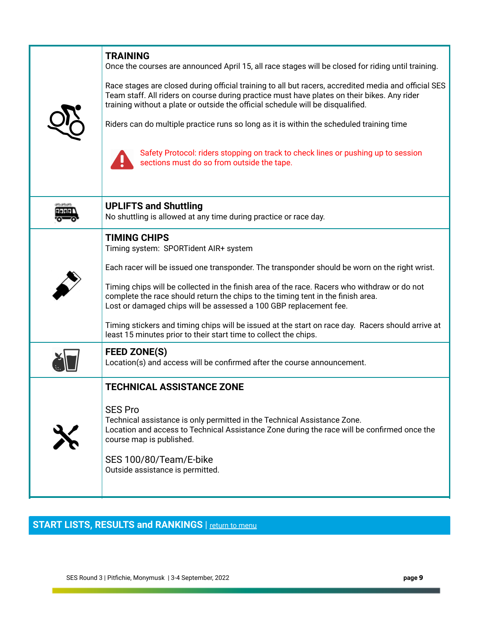| <b>TRAINING</b><br>Once the courses are announced April 15, all race stages will be closed for riding until training.<br>Race stages are closed during official training to all but racers, accredited media and official SES<br>Team staff. All riders on course during practice must have plates on their bikes. Any rider<br>training without a plate or outside the official schedule will be disqualified.<br>Riders can do multiple practice runs so long as it is within the scheduled training time<br>Safety Protocol: riders stopping on track to check lines or pushing up to session<br>sections must do so from outside the tape. |
|------------------------------------------------------------------------------------------------------------------------------------------------------------------------------------------------------------------------------------------------------------------------------------------------------------------------------------------------------------------------------------------------------------------------------------------------------------------------------------------------------------------------------------------------------------------------------------------------------------------------------------------------|
| <b>UPLIFTS and Shuttling</b><br>No shuttling is allowed at any time during practice or race day.                                                                                                                                                                                                                                                                                                                                                                                                                                                                                                                                               |
| <b>TIMING CHIPS</b><br>Timing system: SPORTident AIR+ system<br>Each racer will be issued one transponder. The transponder should be worn on the right wrist.<br>Timing chips will be collected in the finish area of the race. Racers who withdraw or do not<br>complete the race should return the chips to the timing tent in the finish area.<br>Lost or damaged chips will be assessed a 100 GBP replacement fee.<br>Timing stickers and timing chips will be issued at the start on race day. Racers should arrive at<br>least 15 minutes prior to their start time to collect the chips.                                                |
| <b>FEED ZONE(S)</b><br>Location(s) and access will be confirmed after the course announcement.                                                                                                                                                                                                                                                                                                                                                                                                                                                                                                                                                 |
| <b>TECHNICAL ASSISTANCE ZONE</b><br><b>SES Pro</b><br>Technical assistance is only permitted in the Technical Assistance Zone.<br>Location and access to Technical Assistance Zone during the race will be confirmed once the<br>course map is published.<br>SES 100/80/Team/E-bike<br>Outside assistance is permitted.                                                                                                                                                                                                                                                                                                                        |

# **START LISTS, RESULTS and RANKINGS** | [return to menu](#page-0-0)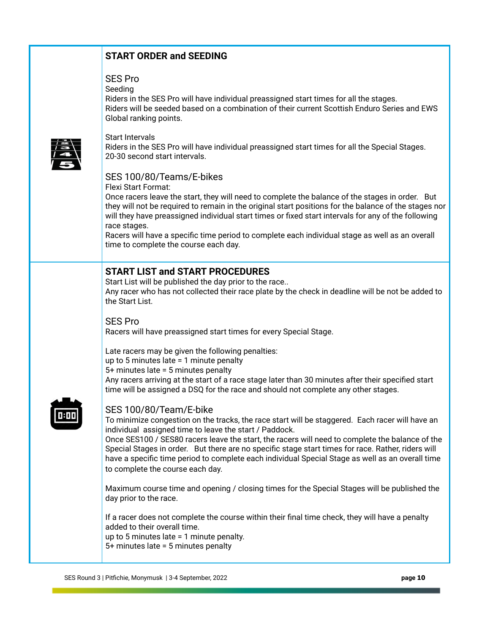|      | <b>START ORDER and SEEDING</b>                                                                                                                                                                                                                                                                                                                                                                                                                                                                                                       |
|------|--------------------------------------------------------------------------------------------------------------------------------------------------------------------------------------------------------------------------------------------------------------------------------------------------------------------------------------------------------------------------------------------------------------------------------------------------------------------------------------------------------------------------------------|
|      | <b>SES Pro</b><br>Seeding<br>Riders in the SES Pro will have individual preassigned start times for all the stages.<br>Riders will be seeded based on a combination of their current Scottish Enduro Series and EWS<br>Global ranking points.                                                                                                                                                                                                                                                                                        |
|      | <b>Start Intervals</b><br>Riders in the SES Pro will have individual preassigned start times for all the Special Stages.<br>20-30 second start intervals.                                                                                                                                                                                                                                                                                                                                                                            |
|      | SES 100/80/Teams/E-bikes<br>Flexi Start Format:<br>Once racers leave the start, they will need to complete the balance of the stages in order. But<br>they will not be required to remain in the original start positions for the balance of the stages nor<br>will they have preassigned individual start times or fixed start intervals for any of the following<br>race stages.<br>Racers will have a specific time period to complete each individual stage as well as an overall<br>time to complete the course each day.       |
| 0:00 | <b>START LIST and START PROCEDURES</b><br>Start List will be published the day prior to the race<br>Any racer who has not collected their race plate by the check in deadline will be not be added to<br>the Start List.                                                                                                                                                                                                                                                                                                             |
|      | <b>SES Pro</b><br>Racers will have preassigned start times for every Special Stage.                                                                                                                                                                                                                                                                                                                                                                                                                                                  |
|      | Late racers may be given the following penalties:<br>up to 5 minutes late $=$ 1 minute penalty<br>5+ minutes late = 5 minutes penalty<br>Any racers arriving at the start of a race stage later than 30 minutes after their specified start<br>time will be assigned a DSQ for the race and should not complete any other stages.                                                                                                                                                                                                    |
|      | SES 100/80/Team/E-bike<br>To minimize congestion on the tracks, the race start will be staggered. Each racer will have an<br>individual assigned time to leave the start / Paddock.<br>Once SES100 / SES80 racers leave the start, the racers will need to complete the balance of the<br>Special Stages in order. But there are no specific stage start times for race. Rather, riders will<br>have a specific time period to complete each individual Special Stage as well as an overall time<br>to complete the course each day. |
|      | Maximum course time and opening / closing times for the Special Stages will be published the<br>day prior to the race.                                                                                                                                                                                                                                                                                                                                                                                                               |
|      | If a racer does not complete the course within their final time check, they will have a penalty<br>added to their overall time.<br>up to 5 minutes late $= 1$ minute penalty.<br>5+ minutes late = 5 minutes penalty                                                                                                                                                                                                                                                                                                                 |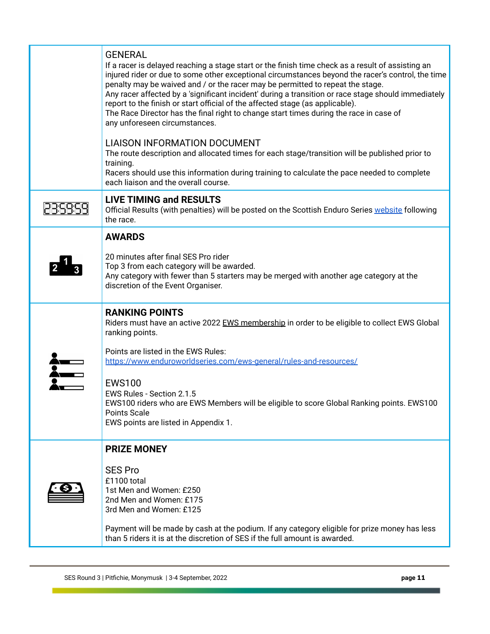| <b>GENERAL</b><br>If a racer is delayed reaching a stage start or the finish time check as a result of assisting an<br>injured rider or due to some other exceptional circumstances beyond the racer's control, the time<br>penalty may be waived and / or the racer may be permitted to repeat the stage.<br>Any racer affected by a 'significant incident' during a transition or race stage should immediately<br>report to the finish or start official of the affected stage (as applicable).<br>The Race Director has the final right to change start times during the race in case of<br>any unforeseen circumstances. |
|-------------------------------------------------------------------------------------------------------------------------------------------------------------------------------------------------------------------------------------------------------------------------------------------------------------------------------------------------------------------------------------------------------------------------------------------------------------------------------------------------------------------------------------------------------------------------------------------------------------------------------|
| <b>LIAISON INFORMATION DOCUMENT</b><br>The route description and allocated times for each stage/transition will be published prior to<br>training.<br>Racers should use this information during training to calculate the pace needed to complete<br>each liaison and the overall course.                                                                                                                                                                                                                                                                                                                                     |
| <b>LIVE TIMING and RESULTS</b><br>Official Results (with penalties) will be posted on the Scottish Enduro Series website following<br>the race.                                                                                                                                                                                                                                                                                                                                                                                                                                                                               |
| <b>AWARDS</b><br>20 minutes after final SES Pro rider<br>Top 3 from each category will be awarded.<br>Any category with fewer than 5 starters may be merged with another age category at the<br>discretion of the Event Organiser.                                                                                                                                                                                                                                                                                                                                                                                            |
| <b>RANKING POINTS</b><br>Riders must have an active 2022 EWS membership in order to be eligible to collect EWS Global<br>ranking points.<br>Points are listed in the EWS Rules:<br>https://www.enduroworldseries.com/ews-general/rules-and-resources/<br><b>EWS100</b><br>EWS Rules - Section 2.1.5<br>EWS100 riders who are EWS Members will be eligible to score Global Ranking points. EWS100<br>Points Scale<br>EWS points are listed in Appendix 1.                                                                                                                                                                      |
| <b>PRIZE MONEY</b><br><b>SES Pro</b><br>£1100 total<br>1st Men and Women: £250<br>2nd Men and Women: £175<br>3rd Men and Women: £125<br>Payment will be made by cash at the podium. If any category eligible for prize money has less<br>than 5 riders it is at the discretion of SES if the full amount is awarded.                                                                                                                                                                                                                                                                                                          |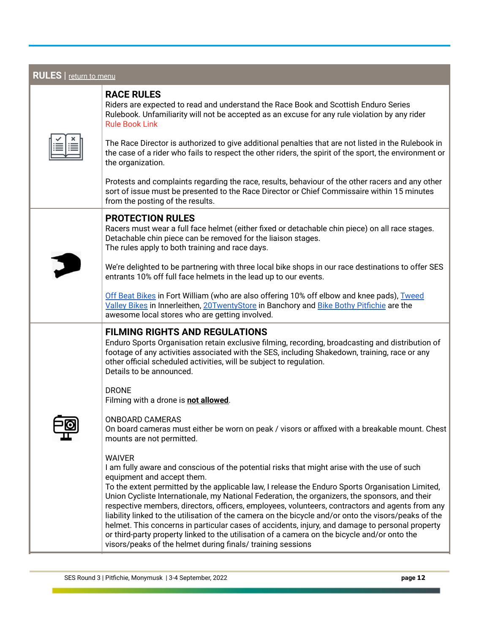| <b>RULES</b>   return to menu |                                                                                                                                                                                                                                                                                                                                                                                                                                                                                                                                                                                                                                                                                                                                                                                                                               |
|-------------------------------|-------------------------------------------------------------------------------------------------------------------------------------------------------------------------------------------------------------------------------------------------------------------------------------------------------------------------------------------------------------------------------------------------------------------------------------------------------------------------------------------------------------------------------------------------------------------------------------------------------------------------------------------------------------------------------------------------------------------------------------------------------------------------------------------------------------------------------|
|                               | <b>RACE RULES</b><br>Riders are expected to read and understand the Race Book and Scottish Enduro Series<br>Rulebook. Unfamiliarity will not be accepted as an excuse for any rule violation by any rider<br><b>Rule Book Link</b>                                                                                                                                                                                                                                                                                                                                                                                                                                                                                                                                                                                            |
|                               | The Race Director is authorized to give additional penalties that are not listed in the Rulebook in<br>the case of a rider who fails to respect the other riders, the spirit of the sport, the environment or<br>the organization.                                                                                                                                                                                                                                                                                                                                                                                                                                                                                                                                                                                            |
|                               | Protests and complaints regarding the race, results, behaviour of the other racers and any other<br>sort of issue must be presented to the Race Director or Chief Commissaire within 15 minutes<br>from the posting of the results.                                                                                                                                                                                                                                                                                                                                                                                                                                                                                                                                                                                           |
|                               | <b>PROTECTION RULES</b><br>Racers must wear a full face helmet (either fixed or detachable chin piece) on all race stages.<br>Detachable chin piece can be removed for the liaison stages.<br>The rules apply to both training and race days.                                                                                                                                                                                                                                                                                                                                                                                                                                                                                                                                                                                 |
|                               | We're delighted to be partnering with three local bike shops in our race destinations to offer SES<br>entrants 10% off full face helmets in the lead up to our events.                                                                                                                                                                                                                                                                                                                                                                                                                                                                                                                                                                                                                                                        |
|                               | Off Beat Bikes in Fort William (who are also offering 10% off elbow and knee pads), Tweed<br>Valley Bikes in Innerleithen, 20TwentyStore in Banchory and Bike Bothy Pitfichie are the<br>awesome local stores who are getting involved.                                                                                                                                                                                                                                                                                                                                                                                                                                                                                                                                                                                       |
|                               | <b>FILMING RIGHTS AND REGULATIONS</b><br>Enduro Sports Organisation retain exclusive filming, recording, broadcasting and distribution of<br>footage of any activities associated with the SES, including Shakedown, training, race or any<br>other official scheduled activities, will be subject to regulation.<br>Details to be announced.                                                                                                                                                                                                                                                                                                                                                                                                                                                                                 |
|                               | <b>DRONE</b><br>Filming with a drone is not allowed.                                                                                                                                                                                                                                                                                                                                                                                                                                                                                                                                                                                                                                                                                                                                                                          |
|                               | <b>ONBOARD CAMERAS</b><br>On board cameras must either be worn on peak / visors or affixed with a breakable mount. Chest<br>mounts are not permitted.                                                                                                                                                                                                                                                                                                                                                                                                                                                                                                                                                                                                                                                                         |
|                               | <b>WAIVER</b><br>I am fully aware and conscious of the potential risks that might arise with the use of such<br>equipment and accept them.<br>To the extent permitted by the applicable law, I release the Enduro Sports Organisation Limited,<br>Union Cycliste Internationale, my National Federation, the organizers, the sponsors, and their<br>respective members, directors, officers, employees, volunteers, contractors and agents from any<br>liability linked to the utilisation of the camera on the bicycle and/or onto the visors/peaks of the<br>helmet. This concerns in particular cases of accidents, injury, and damage to personal property<br>or third-party property linked to the utilisation of a camera on the bicycle and/or onto the<br>visors/peaks of the helmet during finals/ training sessions |

٦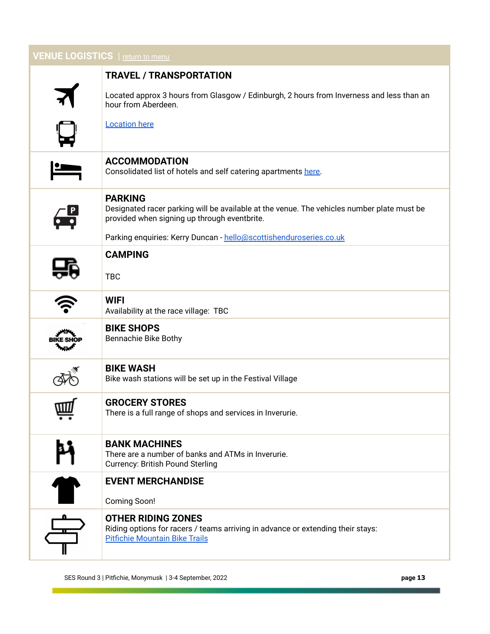| <b>VENUE LOGISTICS</b>   return to menu |                                                                                                                                                              |  |
|-----------------------------------------|--------------------------------------------------------------------------------------------------------------------------------------------------------------|--|
|                                         | <b>TRAVEL / TRANSPORTATION</b>                                                                                                                               |  |
|                                         | Located approx 3 hours from Glasgow / Edinburgh, 2 hours from Inverness and less than an<br>hour from Aberdeen.                                              |  |
|                                         | <b>Location here</b>                                                                                                                                         |  |
|                                         | <b>ACCOMMODATION</b><br>Consolidated list of hotels and self catering apartments here.                                                                       |  |
|                                         | <b>PARKING</b><br>Designated racer parking will be available at the venue. The vehicles number plate must be<br>provided when signing up through eventbrite. |  |
|                                         | Parking enquiries: Kerry Duncan - hello@scottishenduroseries.co.uk                                                                                           |  |
|                                         | <b>CAMPING</b><br><b>TBC</b>                                                                                                                                 |  |
|                                         | <b>WIFI</b><br>Availability at the race village: TBC                                                                                                         |  |
|                                         | <b>BIKE SHOPS</b><br><b>Bennachie Bike Bothy</b>                                                                                                             |  |
|                                         | <b>BIKE WASH</b><br>Bike wash stations will be set up in the Festival Village                                                                                |  |
| ш                                       | <b>GROCERY STORES</b><br>There is a full range of shops and services in Inverurie.                                                                           |  |
| M                                       | <b>BANK MACHINES</b><br>There are a number of banks and ATMs in Inverurie.<br><b>Currency: British Pound Sterling</b>                                        |  |
| $\bullet$                               | <b>EVENT MERCHANDISE</b><br>Coming Soon!                                                                                                                     |  |
|                                         | <b>OTHER RIDING ZONES</b><br>Riding options for racers / teams arriving in advance or extending their stays:<br><b>Pitfichie Mountain Bike Trails</b>        |  |